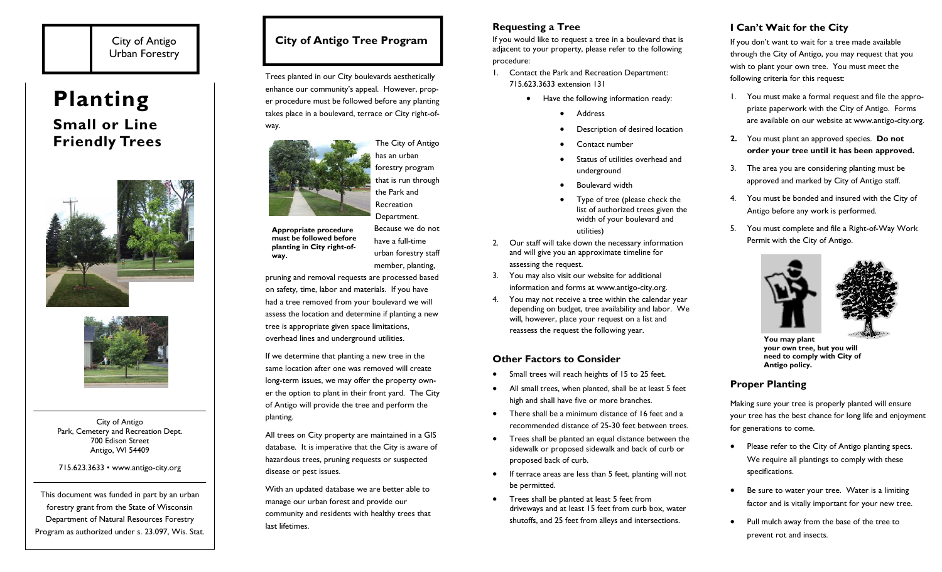# City of Antigo Urban Forestry

# **Planting Small or Line Friendly Trees**





City of Antigo Park, Cemetery and Recreation Dept. 700 Edison Street Antigo, WI 54409

715.623.3633 • www.antigo-city.org

This document was funded in part by an urban forestry grant from the State of Wisconsin Department of Natural Resources Forestry Program as authorized under s. 23.097, Wis. Stat.

# **City of Antigo Tree Program**

Trees planted in our City boulevards aesthetically enhance our community's appeal. However, proper procedure must be followed before any planting takes place in a boulevard, terrace or City right-ofway.

The City of Antigo

**Appropriate procedure must be followed before planting in City right-ofway.** 

have a full-time urban forestry staff member, planting,

pruning and removal requests are processed based on safety, time, labor and materials. If you have had a tree removed from your boulevard we will assess the location and determine if planting a new tree is appropriate given space limitations,

If we determine that planting a new tree in the same location after one was removed will create long-term issues, we may offer the property owner the option to plant in their front yard. The City of Antigo will provide the tree and perform the planting.

All trees on City property are maintained in a GIS database. It is imperative that the City is aware of hazardous trees, pruning requests or suspected disease or pest issues.

With an updated database we are better able to manage our urban forest and provide our community and residents with healthy trees that last lifetimes.

## **Requesting a Tree**

If you would like to request a tree in a boulevard that is adjacent to your property, please refer to the following procedure:

- 1. Contact the Park and Recreation Department: 715.623.3633 extension 131
	- Have the following information ready:
		- $\bullet$ Address
		- $\bullet$ Description of desired location
		- $\bullet$ Contact number
		- $\bullet$  Status of utilities overhead and underground
		- . Boulevard width
		- $\bullet$  Type of tree (please check the list of authorized trees given the width of your boulevard and utilities)
- 2. Our staff will take down the necessary information and will give you an approximate timeline for assessing the request.
- 3. You may also visit our website for additional information and forms at www.antigo-city.org.
- 4. You may not receive a tree within the calendar year depending on budget, tree availability and labor. We will, however, place your request on a list and reassess the request the following year.

## **Other Factors to Consider**

- $\bullet$ Small trees will reach heights of 15 to 25 feet.
- $\bullet$  All small trees, when planted, shall be at least 5 feet high and shall have five or more branches.
- $\bullet$  There shall be a minimum distance of 16 feet and a recommended distance of 25-30 feet between trees.
- $\bullet$  Trees shall be planted an equal distance between the sidewalk or proposed sidewalk and back of curb or proposed back of curb.
- $\bullet$  If terrace areas are less than 5 feet, planting will not be permitted.
- Trees shall be planted at least 5 feet from driveways and at least 15 feet from curb box, water shutoffs, and 25 feet from alleys and intersections.

# **I Can't Wait for the City**

If you don't want to wait for a tree made available through the City of Antigo, you may request that you wish to plant your own tree. You must meet the following criteria for this request:

- 1. You must make a formal request and file the appropriate paperwork with the City of Antigo. Forms are available on our website at www.antigo-city.org.
- **2.** You must plant an approved species. **Do not order your tree until it has been approved.**
- 3. The area you are considering planting must be approved and marked by City of Antigo staff.
- 4. You must be bonded and insured with the City of Antigo before any work is performed.
- 5. You must complete and file a Right-of-Way Work Permit with the City of Antigo.



**You may plant your own tree, but you will need to comply with City of Antigo policy.** 

## **Proper Planting**

Making sure your tree is properly planted will ensure your tree has the best chance for long life and enjoyment for generations to come.

- $\bullet$  Please refer to the City of Antigo planting specs. We require all plantings to comply with these specifications.
- $\bullet$  Be sure to water your tree. Water is a limiting factor and is vitally important for your new tree.
- $\bullet$  Pull mulch away from the base of the tree to prevent rot and insects.

has an urban forestry program that is run through the Park and **Recreation** Department.

Because we do not

overhead lines and underground utilities.